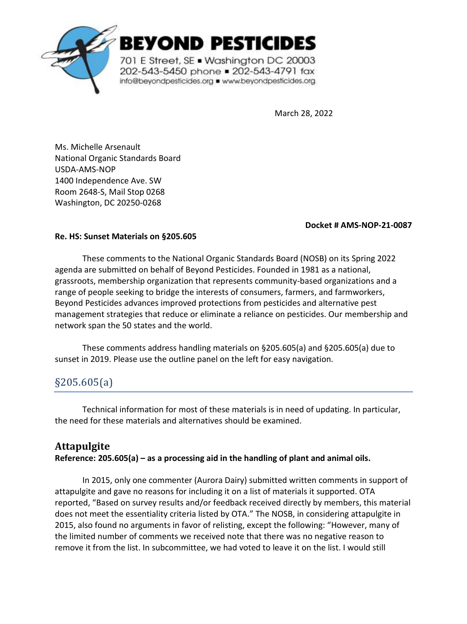

**BEYOND PESTICIDES** 

701 E Street, SE . Washington DC 20003 202-543-5450 phone = 202-543-4791 fax info@beyondpesticides.org = www.beyondpesticides.org

March 28, 2022

Ms. Michelle Arsenault National Organic Standards Board USDA-AMS-NOP 1400 Independence Ave. SW Room 2648-S, Mail Stop 0268 Washington, DC 20250-0268

### **Docket # AMS-NOP-21-0087**

### **Re. HS: Sunset Materials on §205.605**

These comments to the National Organic Standards Board (NOSB) on its Spring 2022 agenda are submitted on behalf of Beyond Pesticides. Founded in 1981 as a national, grassroots, membership organization that represents community-based organizations and a range of people seeking to bridge the interests of consumers, farmers, and farmworkers, Beyond Pesticides advances improved protections from pesticides and alternative pest management strategies that reduce or eliminate a reliance on pesticides. Our membership and network span the 50 states and the world.

These comments address handling materials on §205.605(a) and §205.605(a) due to sunset in 2019. Please use the outline panel on the left for easy navigation.

# §205.605(a)

Technical information for most of these materials is in need of updating. In particular, the need for these materials and alternatives should be examined.

# **Attapulgite**

**Reference: 205.605(a) – as a processing aid in the handling of plant and animal oils.** 

In 2015, only one commenter (Aurora Dairy) submitted written comments in support of attapulgite and gave no reasons for including it on a list of materials it supported. OTA reported, "Based on survey results and/or feedback received directly by members, this material does not meet the essentiality criteria listed by OTA." The NOSB, in considering attapulgite in 2015, also found no arguments in favor of relisting, except the following: "However, many of the limited number of comments we received note that there was no negative reason to remove it from the list. In subcommittee, we had voted to leave it on the list. I would still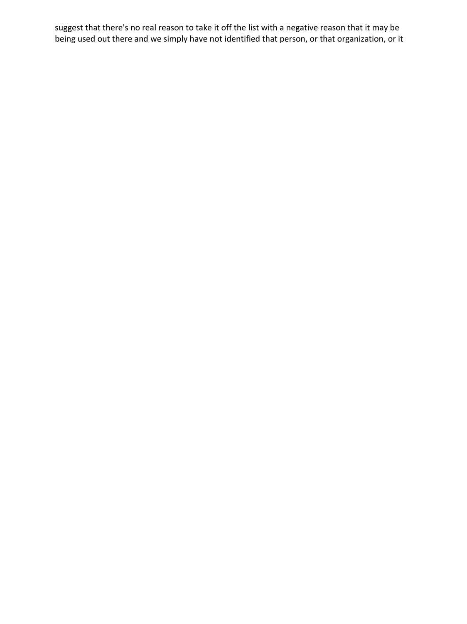suggest that there's no real reason to take it off the list with a negative reason that it may be being used out there and we simply have not identified that person, or that organization, or it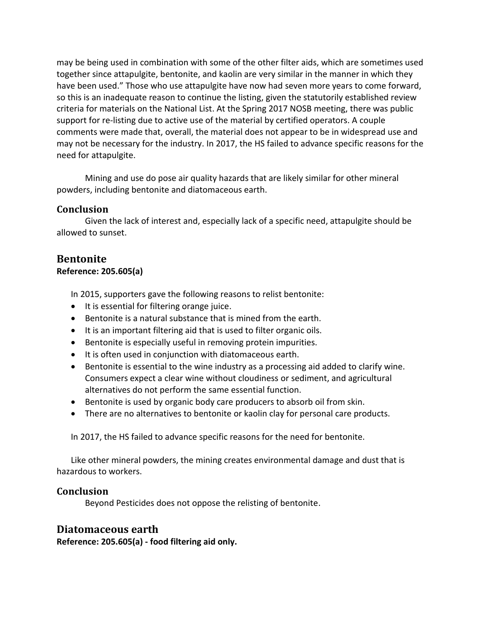may be being used in combination with some of the other filter aids, which are sometimes used together since attapulgite, bentonite, and kaolin are very similar in the manner in which they have been used." Those who use attapulgite have now had seven more years to come forward, so this is an inadequate reason to continue the listing, given the statutorily established review criteria for materials on the National List. At the Spring 2017 NOSB meeting, there was public support for re-listing due to active use of the material by certified operators. A couple comments were made that, overall, the material does not appear to be in widespread use and may not be necessary for the industry. In 2017, the HS failed to advance specific reasons for the need for attapulgite.

Mining and use do pose air quality hazards that are likely similar for other mineral powders, including bentonite and diatomaceous earth.

### **Conclusion**

Given the lack of interest and, especially lack of a specific need, attapulgite should be allowed to sunset.

## **Bentonite**

### **Reference: 205.605(a)**

In 2015, supporters gave the following reasons to relist bentonite:

- It is essential for filtering orange juice.
- Bentonite is a natural substance that is mined from the earth.
- It is an important filtering aid that is used to filter organic oils.
- Bentonite is especially useful in removing protein impurities.
- It is often used in conjunction with diatomaceous earth.
- Bentonite is essential to the wine industry as a processing aid added to clarify wine. Consumers expect a clear wine without cloudiness or sediment, and agricultural alternatives do not perform the same essential function.
- Bentonite is used by organic body care producers to absorb oil from skin.
- There are no alternatives to bentonite or kaolin clay for personal care products.

In 2017, the HS failed to advance specific reasons for the need for bentonite.

Like other mineral powders, the mining creates environmental damage and dust that is hazardous to workers.

### **Conclusion**

Beyond Pesticides does not oppose the relisting of bentonite.

### **Diatomaceous earth**

**Reference: 205.605(a) - food filtering aid only.**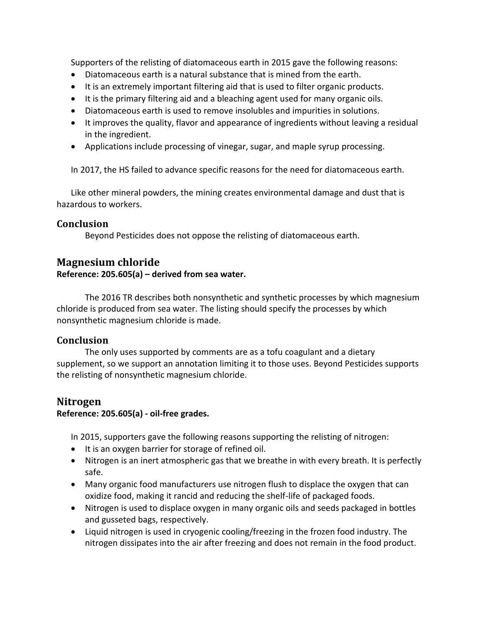Supporters of the relisting of diatomaceous earth in 2015 gave the following reasons:

- Diatomaceous earth is a natural substance that is mined from the earth.
- It is an extremely important filtering aid that is used to filter organic products.
- It is the primary filtering aid and a bleaching agent used for many organic oils.
- Diatomaceous earth is used to remove insolubles and impurities in solutions.
- It improves the quality, flavor and appearance of ingredients without leaving a residual in the ingredient.
- Applications include processing of vinegar, sugar, and maple syrup processing.

In 2017, the HS failed to advance specific reasons for the need for diatomaceous earth.

Like other mineral powders, the mining creates environmental damage and dust that is hazardous to workers.

### **Conclusion**

Beyond Pesticides does not oppose the relisting of diatomaceous earth.

### **Magnesium chloride**

### **Reference: 205.605(a) – derived from sea water.**

The 2016 TR describes both nonsynthetic and synthetic processes by which magnesium chloride is produced from sea water. The listing should specify the processes by which nonsynthetic magnesium chloride is made.

### **Conclusion**

The only uses supported by comments are as a tofu coagulant and a dietary supplement, so we support an annotation limiting it to those uses. Beyond Pesticides supports the relisting of nonsynthetic magnesium chloride.

### **Nitrogen**

### **Reference: 205.605(a) - oil-free grades.**

In 2015, supporters gave the following reasons supporting the relisting of nitrogen:

- It is an oxygen barrier for storage of refined oil.
- Nitrogen is an inert atmospheric gas that we breathe in with every breath. It is perfectly safe.
- Many organic food manufacturers use nitrogen flush to displace the oxygen that can oxidize food, making it rancid and reducing the shelf-life of packaged foods.
- Nitrogen is used to displace oxygen in many organic oils and seeds packaged in bottles and gusseted bags, respectively.
- Liquid nitrogen is used in cryogenic cooling/freezing in the frozen food industry. The nitrogen dissipates into the air after freezing and does not remain in the food product.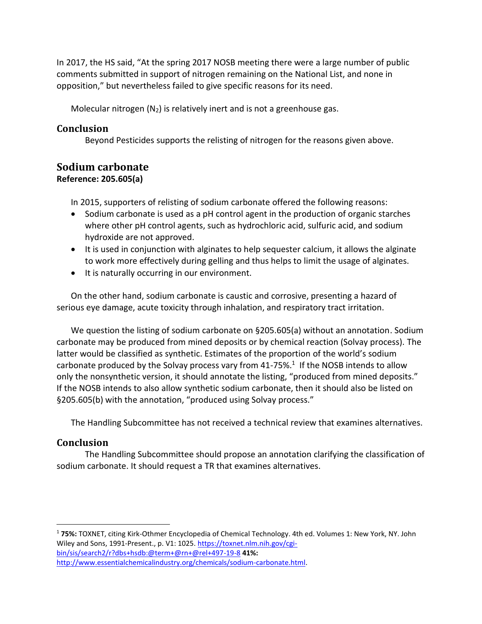In 2017, the HS said, "At the spring 2017 NOSB meeting there were a large number of public comments submitted in support of nitrogen remaining on the National List, and none in opposition," but nevertheless failed to give specific reasons for its need.

Molecular nitrogen  $(N_2)$  is relatively inert and is not a greenhouse gas.

### **Conclusion**

Beyond Pesticides supports the relisting of nitrogen for the reasons given above.

# **Sodium carbonate**

### **Reference: 205.605(a)**

In 2015, supporters of relisting of sodium carbonate offered the following reasons:

- Sodium carbonate is used as a pH control agent in the production of organic starches where other pH control agents, such as hydrochloric acid, sulfuric acid, and sodium hydroxide are not approved.
- It is used in conjunction with alginates to help sequester calcium, it allows the alginate to work more effectively during gelling and thus helps to limit the usage of alginates.
- It is naturally occurring in our environment.

On the other hand, sodium carbonate is caustic and corrosive, presenting a hazard of serious eye damage, acute toxicity through inhalation, and respiratory tract irritation.

We question the listing of sodium carbonate on §205.605(a) without an annotation. Sodium carbonate may be produced from mined deposits or by chemical reaction (Solvay process). The latter would be classified as synthetic. Estimates of the proportion of the world's sodium carbonate produced by the Solvay process vary from  $41-75\%$ .<sup>1</sup> If the NOSB intends to allow only the nonsynthetic version, it should annotate the listing, "produced from mined deposits." If the NOSB intends to also allow synthetic sodium carbonate, then it should also be listed on §205.605(b) with the annotation, "produced using Solvay process."

The Handling Subcommittee has not received a technical review that examines alternatives.

### **Conclusion**

The Handling Subcommittee should propose an annotation clarifying the classification of sodium carbonate. It should request a TR that examines alternatives.

<sup>1</sup> **75%:** TOXNET, citing Kirk-Othmer Encyclopedia of Chemical Technology. 4th ed. Volumes 1: New York, NY. John Wiley and Sons, 1991-Present., p. V1: 1025. [https://toxnet.nlm.nih.gov/cgi](https://toxnet.nlm.nih.gov/cgi-bin/sis/search2/r?dbs+hsdb:@term+@rn+@rel+497-19-8)[bin/sis/search2/r?dbs+hsdb:@term+@rn+@rel+497-19-8](https://toxnet.nlm.nih.gov/cgi-bin/sis/search2/r?dbs+hsdb:@term+@rn+@rel+497-19-8) **41%:**

[http://www.essentialchemicalindustry.org/chemicals/sodium-carbonate.html.](http://www.essentialchemicalindustry.org/chemicals/sodium-carbonate.html)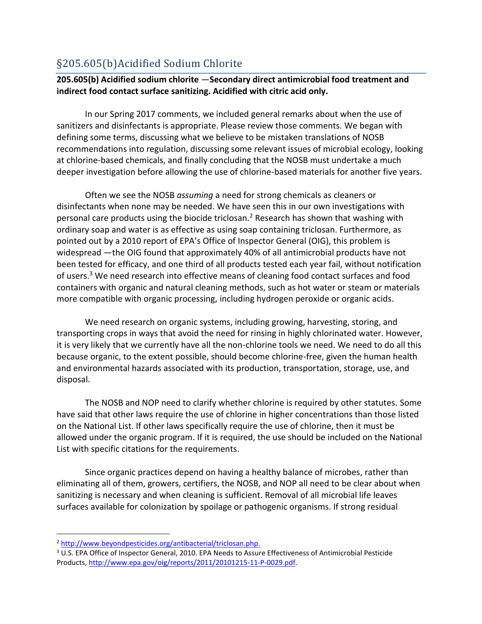# §205.605(b)Acidified Sodium Chlorite

### **205.605(b) Acidified sodium chlorite** —**Secondary direct antimicrobial food treatment and indirect food contact surface sanitizing. Acidified with citric acid only.**

In our Spring 2017 comments, we included general remarks about when the use of sanitizers and disinfectants is appropriate. Please review those comments. We began with defining some terms, discussing what we believe to be mistaken translations of NOSB recommendations into regulation, discussing some relevant issues of microbial ecology, looking at chlorine-based chemicals, and finally concluding that the NOSB must undertake a much deeper investigation before allowing the use of chlorine-based materials for another five years.

Often we see the NOSB *assuming* a need for strong chemicals as cleaners or disinfectants when none may be needed. We have seen this in our own investigations with personal care products using the biocide triclosan.<sup>2</sup> Research has shown that washing with ordinary soap and water is as effective as using soap containing triclosan. Furthermore, as pointed out by a 2010 report of EPA's Office of Inspector General (OIG), this problem is widespread —the OIG found that approximately 40% of all antimicrobial products have not been tested for efficacy, and one third of all products tested each year fail, without notification of users.<sup>3</sup> We need research into effective means of cleaning food contact surfaces and food containers with organic and natural cleaning methods, such as hot water or steam or materials more compatible with organic processing, including hydrogen peroxide or organic acids.

We need research on organic systems, including growing, harvesting, storing, and transporting crops in ways that avoid the need for rinsing in highly chlorinated water. However, it is very likely that we currently have all the non-chlorine tools we need. We need to do all this because organic, to the extent possible, should become chlorine-free, given the human health and environmental hazards associated with its production, transportation, storage, use, and disposal.

The NOSB and NOP need to clarify whether chlorine is required by other statutes. Some have said that other laws require the use of chlorine in higher concentrations than those listed on the National List. If other laws specifically require the use of chlorine, then it must be allowed under the organic program. If it is required, the use should be included on the National List with specific citations for the requirements.

Since organic practices depend on having a healthy balance of microbes, rather than eliminating all of them, growers, certifiers, the NOSB, and NOP all need to be clear about when sanitizing is necessary and when cleaning is sufficient. Removal of all microbial life leaves surfaces available for colonization by spoilage or pathogenic organisms. If strong residual

<sup>2</sup> [http://www.beyondpesticides.org/antibacterial/triclosan.php.](http://www.beyondpesticides.org/antibacterial/triclosan.php)

<sup>3</sup> U.S. EPA Office of Inspector General, 2010. EPA Needs to Assure Effectiveness of Antimicrobial Pesticide Products[, http://www.epa.gov/oig/reports/2011/20101215-11-P-0029.pdf.](http://www.epa.gov/oig/reports/2011/20101215-11-P-0029.pdf)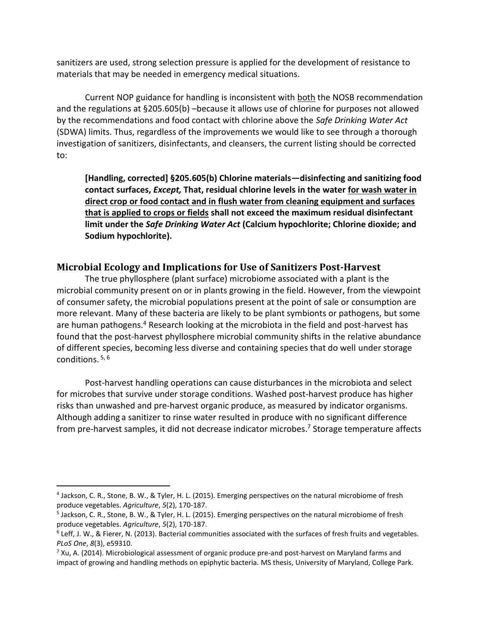sanitizers are used, strong selection pressure is applied for the development of resistance to materials that may be needed in emergency medical situations.

Current NOP guidance for handling is inconsistent with both the NOSB recommendation and the regulations at §205.605(b) –because it allows use of chlorine for purposes not allowed by the recommendations and food contact with chlorine above the *Safe Drinking Water Act* (SDWA) limits. Thus, regardless of the improvements we would like to see through a thorough investigation of sanitizers, disinfectants, and cleansers, the current listing should be corrected to:

**[Handling, corrected] §205.605(b) Chlorine materials—disinfecting and sanitizing food contact surfaces,** *Except,* **That, residual chlorine levels in the water for wash water in direct crop or food contact and in flush water from cleaning equipment and surfaces that is applied to crops or fields shall not exceed the maximum residual disinfectant limit under the** *Safe Drinking Water Act* **(Calcium hypochlorite; Chlorine dioxide; and Sodium hypochlorite).**

### **Microbial Ecology and Implications for Use of Sanitizers Post-Harvest**

The true phyllosphere (plant surface) microbiome associated with a plant is the microbial community present on or in plants growing in the field. However, from the viewpoint of consumer safety, the microbial populations present at the point of sale or consumption are more relevant. Many of these bacteria are likely to be plant symbionts or pathogens, but some are human pathogens.<sup>4</sup> Research looking at the microbiota in the field and post-harvest has found that the post-harvest phyllosphere microbial community shifts in the relative abundance of different species, becoming less diverse and containing species that do well under storage conditions. 5, 6

Post-harvest handling operations can cause disturbances in the microbiota and select for microbes that survive under storage conditions. Washed post-harvest produce has higher risks than unwashed and pre-harvest organic produce, as measured by indicator organisms. Although adding a sanitizer to rinse water resulted in produce with no significant difference from pre-harvest samples, it did not decrease indicator microbes. <sup>7</sup> Storage temperature affects

<sup>4</sup> Jackson, C. R., Stone, B. W., & Tyler, H. L. (2015). Emerging perspectives on the natural microbiome of fresh produce vegetables. *Agriculture*, *5*(2), 170-187.

<sup>5</sup> Jackson, C. R., Stone, B. W., & Tyler, H. L. (2015). Emerging perspectives on the natural microbiome of fresh produce vegetables. *Agriculture*, *5*(2), 170-187.

 $6$  Leff, J. W., & Fierer, N. (2013). Bacterial communities associated with the surfaces of fresh fruits and vegetables. *PLoS One*, *8*(3), e59310.

 $7$  Xu, A. (2014). Microbiological assessment of organic produce pre-and post-harvest on Maryland farms and impact of growing and handling methods on epiphytic bacteria. MS thesis, University of Maryland, College Park.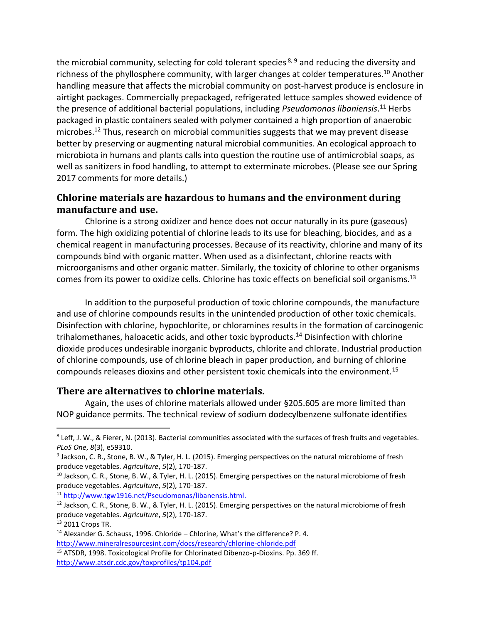the microbial community, selecting for cold tolerant species<sup>8, 9</sup> and reducing the diversity and richness of the phyllosphere community, with larger changes at colder temperatures.<sup>10</sup> Another handling measure that affects the microbial community on post-harvest produce is enclosure in airtight packages. Commercially prepackaged, refrigerated lettuce samples showed evidence of the presence of additional bacterial populations, including *Pseudomonas libaniensis*.<sup>11</sup> Herbs packaged in plastic containers sealed with polymer contained a high proportion of anaerobic microbes.<sup>12</sup> Thus, research on microbial communities suggests that we may prevent disease better by preserving or augmenting natural microbial communities. An ecological approach to microbiota in humans and plants calls into question the routine use of antimicrobial soaps, as well as sanitizers in food handling, to attempt to exterminate microbes. (Please see our Spring 2017 comments for more details.)

### **Chlorine materials are hazardous to humans and the environment during manufacture and use.**

Chlorine is a strong oxidizer and hence does not occur naturally in its pure (gaseous) form. The high oxidizing potential of chlorine leads to its use for bleaching, biocides, and as a chemical reagent in manufacturing processes. Because of its reactivity, chlorine and many of its compounds bind with organic matter. When used as a disinfectant, chlorine reacts with microorganisms and other organic matter. Similarly, the toxicity of chlorine to other organisms comes from its power to oxidize cells. Chlorine has toxic effects on beneficial soil organisms.<sup>13</sup>

In addition to the purposeful production of toxic chlorine compounds, the manufacture and use of chlorine compounds results in the unintended production of other toxic chemicals. Disinfection with chlorine, hypochlorite, or chloramines results in the formation of carcinogenic trihalomethanes, haloacetic acids, and other toxic byproducts.<sup>14</sup> Disinfection with chlorine dioxide produces undesirable inorganic byproducts, chlorite and chlorate. Industrial production of chlorine compounds, use of chlorine bleach in paper production, and burning of chlorine compounds releases dioxins and other persistent toxic chemicals into the environment.<sup>15</sup>

### **There are alternatives to chlorine materials.**

Again, the uses of chlorine materials allowed under §205.605 are more limited than NOP guidance permits. The technical review of sodium dodecylbenzene sulfonate identifies

<sup>13</sup> 2011 Crops TR.

<sup>&</sup>lt;sup>8</sup> Leff, J. W., & Fierer, N. (2013). Bacterial communities associated with the surfaces of fresh fruits and vegetables. *PLoS One*, *8*(3), e59310.

<sup>9</sup> Jackson, C. R., Stone, B. W., & Tyler, H. L. (2015). Emerging perspectives on the natural microbiome of fresh produce vegetables. *Agriculture*, *5*(2), 170-187.

<sup>&</sup>lt;sup>10</sup> Jackson, C. R., Stone, B. W., & Tyler, H. L. (2015). Emerging perspectives on the natural microbiome of fresh produce vegetables. *Agriculture*, *5*(2), 170-187.

<sup>11</sup> [http://www.tgw1916.net/Pseudomonas/libanensis.html.](http://www.tgw1916.net/Pseudomonas/libanensis.html)

<sup>&</sup>lt;sup>12</sup> Jackson, C. R., Stone, B. W., & Tyler, H. L. (2015). Emerging perspectives on the natural microbiome of fresh produce vegetables. *Agriculture*, *5*(2), 170-187.

 $14$  Alexander G. Schauss, 1996. Chloride – Chlorine, What's the difference? P. 4. <http://www.mineralresourcesint.com/docs/research/chlorine-chloride.pdf>

<sup>15</sup> ATSDR, 1998. Toxicological Profile for Chlorinated Dibenzo-p-Dioxins. Pp. 369 ff. <http://www.atsdr.cdc.gov/toxprofiles/tp104.pdf>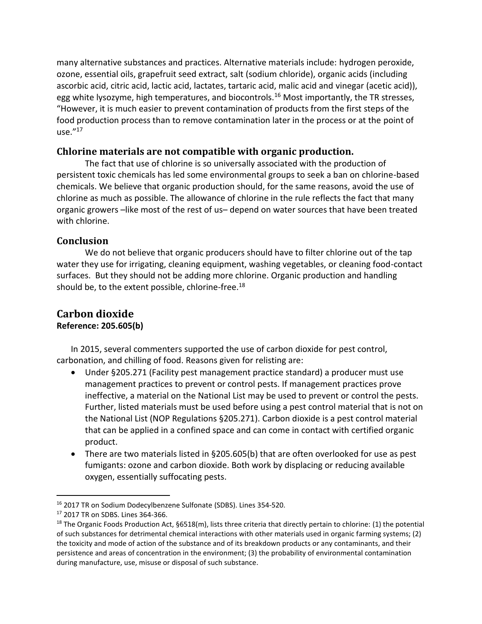many alternative substances and practices. Alternative materials include: hydrogen peroxide, ozone, essential oils, grapefruit seed extract, salt (sodium chloride), organic acids (including ascorbic acid, citric acid, lactic acid, lactates, tartaric acid, malic acid and vinegar (acetic acid)), egg white lysozyme, high temperatures, and biocontrols.<sup>16</sup> Most importantly, the TR stresses, "However, it is much easier to prevent contamination of products from the first steps of the food production process than to remove contamination later in the process or at the point of use." 17

### **Chlorine materials are not compatible with organic production.**

The fact that use of chlorine is so universally associated with the production of persistent toxic chemicals has led some environmental groups to seek a ban on chlorine-based chemicals. We believe that organic production should, for the same reasons, avoid the use of chlorine as much as possible. The allowance of chlorine in the rule reflects the fact that many organic growers –like most of the rest of us– depend on water sources that have been treated with chlorine.

### **Conclusion**

We do not believe that organic producers should have to filter chlorine out of the tap water they use for irrigating, cleaning equipment, washing vegetables, or cleaning food-contact surfaces. But they should not be adding more chlorine. Organic production and handling should be, to the extent possible, chlorine-free.<sup>18</sup>

### **Carbon dioxide Reference: 205.605(b)**

In 2015, several commenters supported the use of carbon dioxide for pest control, carbonation, and chilling of food. Reasons given for relisting are:

- Under §205.271 (Facility pest management practice standard) a producer must use management practices to prevent or control pests. If management practices prove ineffective, a material on the National List may be used to prevent or control the pests. Further, listed materials must be used before using a pest control material that is not on the National List (NOP Regulations §205.271). Carbon dioxide is a pest control material that can be applied in a confined space and can come in contact with certified organic product.
- There are two materials listed in §205.605(b) that are often overlooked for use as pest fumigants: ozone and carbon dioxide. Both work by displacing or reducing available oxygen, essentially suffocating pests.

<sup>16</sup> 2017 TR on Sodium Dodecylbenzene Sulfonate (SDBS). Lines 354-520.

<sup>17</sup> 2017 TR on SDBS. Lines 364-366.

<sup>&</sup>lt;sup>18</sup> The Organic Foods Production Act, §6518(m), lists three criteria that directly pertain to chlorine: (1) the potential of such substances for detrimental chemical interactions with other materials used in organic farming systems; (2) the toxicity and mode of action of the substance and of its breakdown products or any contaminants, and their persistence and areas of concentration in the environment; (3) the probability of environmental contamination during manufacture, use, misuse or disposal of such substance.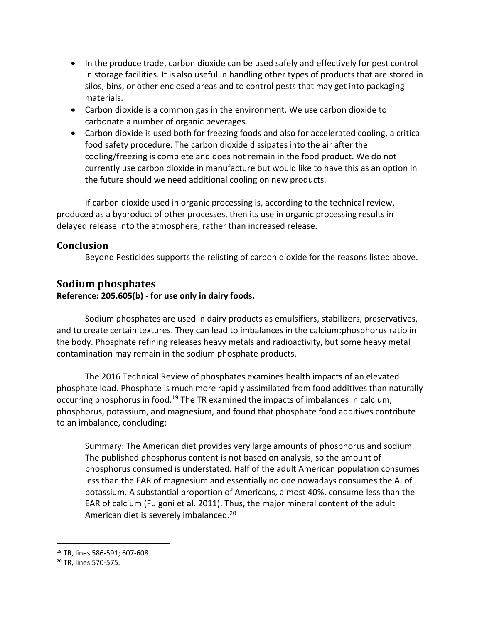- In the produce trade, carbon dioxide can be used safely and effectively for pest control in storage facilities. It is also useful in handling other types of products that are stored in silos, bins, or other enclosed areas and to control pests that may get into packaging materials.
- Carbon dioxide is a common gas in the environment. We use carbon dioxide to carbonate a number of organic beverages.
- Carbon dioxide is used both for freezing foods and also for accelerated cooling, a critical food safety procedure. The carbon dioxide dissipates into the air after the cooling/freezing is complete and does not remain in the food product. We do not currently use carbon dioxide in manufacture but would like to have this as an option in the future should we need additional cooling on new products.

If carbon dioxide used in organic processing is, according to the technical review, produced as a byproduct of other processes, then its use in organic processing results in delayed release into the atmosphere, rather than increased release.

### **Conclusion**

Beyond Pesticides supports the relisting of carbon dioxide for the reasons listed above.

## **Sodium phosphates**

**Reference: 205.605(b) - for use only in dairy foods.** 

Sodium phosphates are used in dairy products as emulsifiers, stabilizers, preservatives, and to create certain textures. They can lead to imbalances in the calcium:phosphorus ratio in the body. Phosphate refining releases heavy metals and radioactivity, but some heavy metal contamination may remain in the sodium phosphate products.

The 2016 Technical Review of phosphates examines health impacts of an elevated phosphate load. Phosphate is much more rapidly assimilated from food additives than naturally occurring phosphorus in food.<sup>19</sup> The TR examined the impacts of imbalances in calcium, phosphorus, potassium, and magnesium, and found that phosphate food additives contribute to an imbalance, concluding:

Summary: The American diet provides very large amounts of phosphorus and sodium. The published phosphorus content is not based on analysis, so the amount of phosphorus consumed is understated. Half of the adult American population consumes less than the EAR of magnesium and essentially no one nowadays consumes the AI of potassium. A substantial proportion of Americans, almost 40%, consume less than the EAR of calcium (Fulgoni et al. 2011). Thus, the major mineral content of the adult American diet is severely imbalanced.<sup>20</sup>

<sup>19</sup> TR, lines 586-591; 607-608.

<sup>20</sup> TR, lines 570-575.